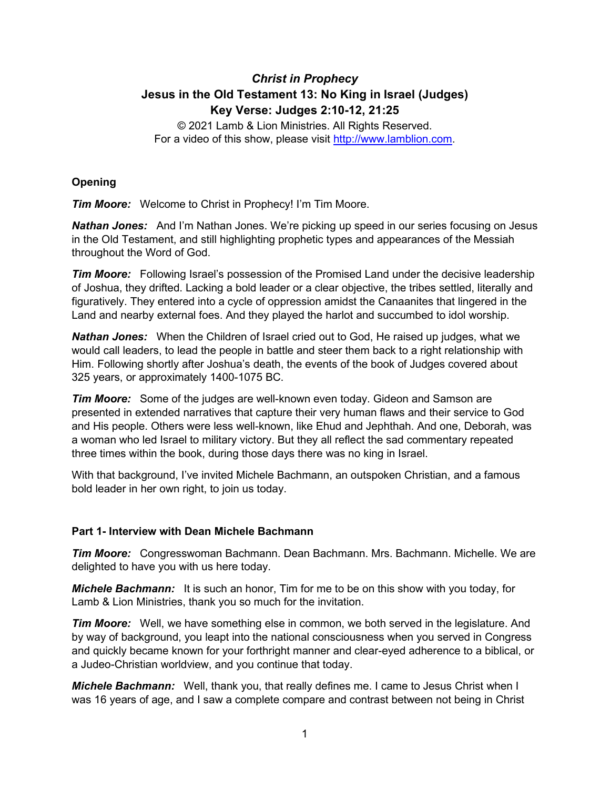# *Christ in Prophecy* **Jesus in the Old Testament 13: No King in Israel (Judges) Key Verse: Judges 2:10-12, 21:25**

© 2021 Lamb & Lion Ministries. All Rights Reserved. For a video of this show, please visit [http://www.lamblion.com.](http://www.lamblion.com/)

## **Opening**

*Tim Moore:* Welcome to Christ in Prophecy! I'm Tim Moore.

*Nathan Jones:* And I'm Nathan Jones. We're picking up speed in our series focusing on Jesus in the Old Testament, and still highlighting prophetic types and appearances of the Messiah throughout the Word of God.

*Tim Moore:* Following Israel's possession of the Promised Land under the decisive leadership of Joshua, they drifted. Lacking a bold leader or a clear objective, the tribes settled, literally and figuratively. They entered into a cycle of oppression amidst the Canaanites that lingered in the Land and nearby external foes. And they played the harlot and succumbed to idol worship.

*Nathan Jones:* When the Children of Israel cried out to God, He raised up judges, what we would call leaders, to lead the people in battle and steer them back to a right relationship with Him. Following shortly after Joshua's death, the events of the book of Judges covered about 325 years, or approximately 1400-1075 BC.

*Tim Moore:* Some of the judges are well-known even today. Gideon and Samson are presented in extended narratives that capture their very human flaws and their service to God and His people. Others were less well-known, like Ehud and Jephthah. And one, Deborah, was a woman who led Israel to military victory. But they all reflect the sad commentary repeated three times within the book, during those days there was no king in Israel.

With that background, I've invited Michele Bachmann, an outspoken Christian, and a famous bold leader in her own right, to join us today.

### **Part 1- Interview with Dean Michele Bachmann**

*Tim Moore:* Congresswoman Bachmann. Dean Bachmann. Mrs. Bachmann. Michelle. We are delighted to have you with us here today.

*Michele Bachmann:* It is such an honor, Tim for me to be on this show with you today, for Lamb & Lion Ministries, thank you so much for the invitation.

*Tim Moore:* Well, we have something else in common, we both served in the legislature. And by way of background, you leapt into the national consciousness when you served in Congress and quickly became known for your forthright manner and clear-eyed adherence to a biblical, or a Judeo-Christian worldview, and you continue that today.

*Michele Bachmann:* Well, thank you, that really defines me. I came to Jesus Christ when I was 16 years of age, and I saw a complete compare and contrast between not being in Christ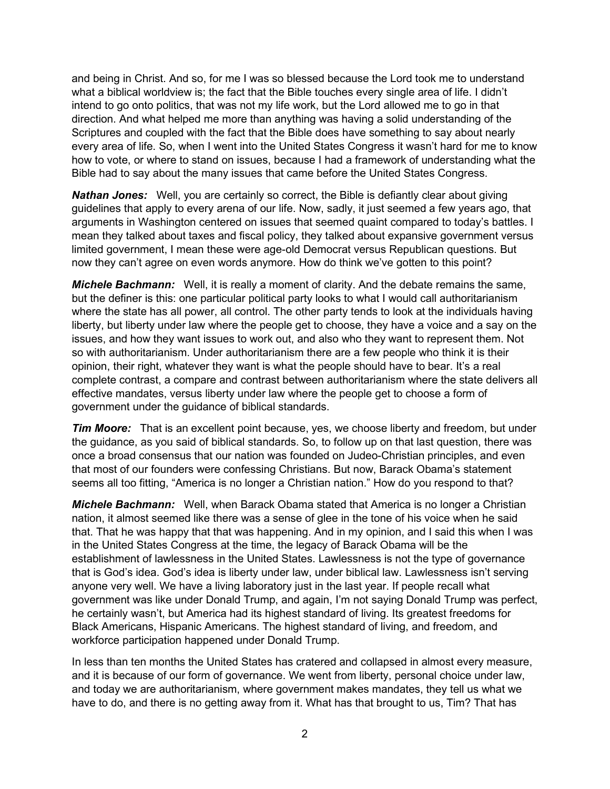and being in Christ. And so, for me I was so blessed because the Lord took me to understand what a biblical worldview is; the fact that the Bible touches every single area of life. I didn't intend to go onto politics, that was not my life work, but the Lord allowed me to go in that direction. And what helped me more than anything was having a solid understanding of the Scriptures and coupled with the fact that the Bible does have something to say about nearly every area of life. So, when I went into the United States Congress it wasn't hard for me to know how to vote, or where to stand on issues, because I had a framework of understanding what the Bible had to say about the many issues that came before the United States Congress.

*Nathan Jones:* Well, you are certainly so correct, the Bible is defiantly clear about giving guidelines that apply to every arena of our life. Now, sadly, it just seemed a few years ago, that arguments in Washington centered on issues that seemed quaint compared to today's battles. I mean they talked about taxes and fiscal policy, they talked about expansive government versus limited government, I mean these were age-old Democrat versus Republican questions. But now they can't agree on even words anymore. How do think we've gotten to this point?

*Michele Bachmann:* Well, it is really a moment of clarity. And the debate remains the same, but the definer is this: one particular political party looks to what I would call authoritarianism where the state has all power, all control. The other party tends to look at the individuals having liberty, but liberty under law where the people get to choose, they have a voice and a say on the issues, and how they want issues to work out, and also who they want to represent them. Not so with authoritarianism. Under authoritarianism there are a few people who think it is their opinion, their right, whatever they want is what the people should have to bear. It's a real complete contrast, a compare and contrast between authoritarianism where the state delivers all effective mandates, versus liberty under law where the people get to choose a form of government under the guidance of biblical standards.

*Tim Moore:* That is an excellent point because, yes, we choose liberty and freedom, but under the guidance, as you said of biblical standards. So, to follow up on that last question, there was once a broad consensus that our nation was founded on Judeo-Christian principles, and even that most of our founders were confessing Christians. But now, Barack Obama's statement seems all too fitting, "America is no longer a Christian nation." How do you respond to that?

*Michele Bachmann:* Well, when Barack Obama stated that America is no longer a Christian nation, it almost seemed like there was a sense of glee in the tone of his voice when he said that. That he was happy that that was happening. And in my opinion, and I said this when I was in the United States Congress at the time, the legacy of Barack Obama will be the establishment of lawlessness in the United States. Lawlessness is not the type of governance that is God's idea. God's idea is liberty under law, under biblical law. Lawlessness isn't serving anyone very well. We have a living laboratory just in the last year. If people recall what government was like under Donald Trump, and again, I'm not saying Donald Trump was perfect, he certainly wasn't, but America had its highest standard of living. Its greatest freedoms for Black Americans, Hispanic Americans. The highest standard of living, and freedom, and workforce participation happened under Donald Trump.

In less than ten months the United States has cratered and collapsed in almost every measure, and it is because of our form of governance. We went from liberty, personal choice under law, and today we are authoritarianism, where government makes mandates, they tell us what we have to do, and there is no getting away from it. What has that brought to us, Tim? That has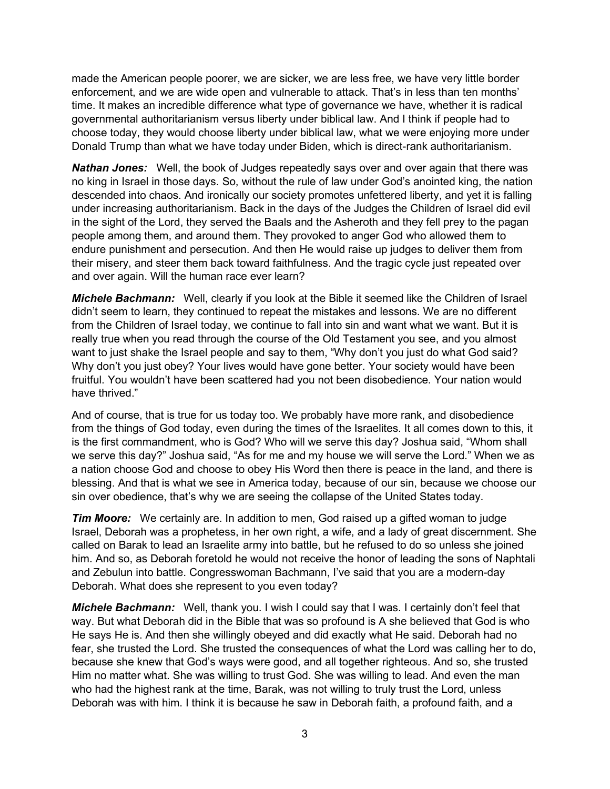made the American people poorer, we are sicker, we are less free, we have very little border enforcement, and we are wide open and vulnerable to attack. That's in less than ten months' time. It makes an incredible difference what type of governance we have, whether it is radical governmental authoritarianism versus liberty under biblical law. And I think if people had to choose today, they would choose liberty under biblical law, what we were enjoying more under Donald Trump than what we have today under Biden, which is direct-rank authoritarianism.

*Nathan Jones:* Well, the book of Judges repeatedly says over and over again that there was no king in Israel in those days. So, without the rule of law under God's anointed king, the nation descended into chaos. And ironically our society promotes unfettered liberty, and yet it is falling under increasing authoritarianism. Back in the days of the Judges the Children of Israel did evil in the sight of the Lord, they served the Baals and the Asheroth and they fell prey to the pagan people among them, and around them. They provoked to anger God who allowed them to endure punishment and persecution. And then He would raise up judges to deliver them from their misery, and steer them back toward faithfulness. And the tragic cycle just repeated over and over again. Will the human race ever learn?

*Michele Bachmann:* Well, clearly if you look at the Bible it seemed like the Children of Israel didn't seem to learn, they continued to repeat the mistakes and lessons. We are no different from the Children of Israel today, we continue to fall into sin and want what we want. But it is really true when you read through the course of the Old Testament you see, and you almost want to just shake the Israel people and say to them, "Why don't you just do what God said? Why don't you just obey? Your lives would have gone better. Your society would have been fruitful. You wouldn't have been scattered had you not been disobedience. Your nation would have thrived."

And of course, that is true for us today too. We probably have more rank, and disobedience from the things of God today, even during the times of the Israelites. It all comes down to this, it is the first commandment, who is God? Who will we serve this day? Joshua said, "Whom shall we serve this day?" Joshua said, "As for me and my house we will serve the Lord." When we as a nation choose God and choose to obey His Word then there is peace in the land, and there is blessing. And that is what we see in America today, because of our sin, because we choose our sin over obedience, that's why we are seeing the collapse of the United States today.

*Tim Moore:* We certainly are. In addition to men, God raised up a gifted woman to judge Israel, Deborah was a prophetess, in her own right, a wife, and a lady of great discernment. She called on Barak to lead an Israelite army into battle, but he refused to do so unless she joined him. And so, as Deborah foretold he would not receive the honor of leading the sons of Naphtali and Zebulun into battle. Congresswoman Bachmann, I've said that you are a modern-day Deborah. What does she represent to you even today?

*Michele Bachmann:* Well, thank you. I wish I could say that I was. I certainly don't feel that way. But what Deborah did in the Bible that was so profound is A she believed that God is who He says He is. And then she willingly obeyed and did exactly what He said. Deborah had no fear, she trusted the Lord. She trusted the consequences of what the Lord was calling her to do, because she knew that God's ways were good, and all together righteous. And so, she trusted Him no matter what. She was willing to trust God. She was willing to lead. And even the man who had the highest rank at the time, Barak, was not willing to truly trust the Lord, unless Deborah was with him. I think it is because he saw in Deborah faith, a profound faith, and a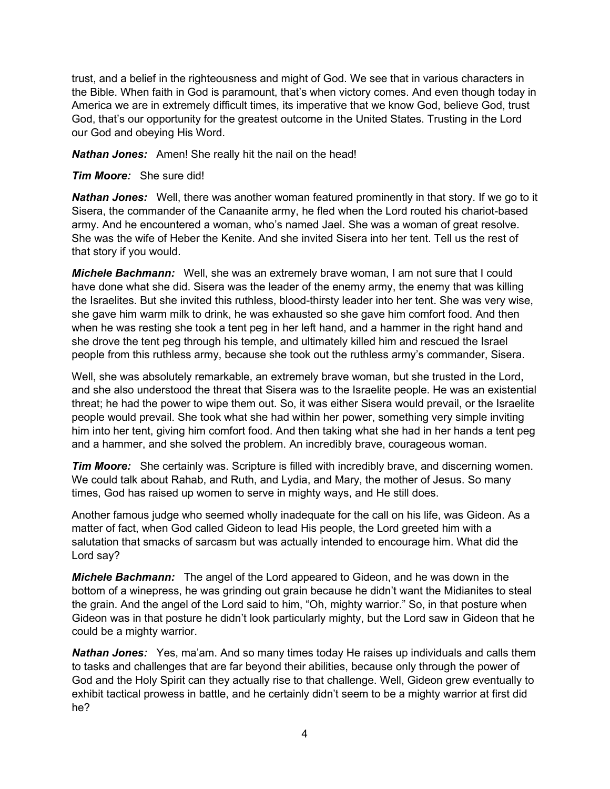trust, and a belief in the righteousness and might of God. We see that in various characters in the Bible. When faith in God is paramount, that's when victory comes. And even though today in America we are in extremely difficult times, its imperative that we know God, believe God, trust God, that's our opportunity for the greatest outcome in the United States. Trusting in the Lord our God and obeying His Word.

*Nathan Jones:* Amen! She really hit the nail on the head!

*Tim Moore:* She sure did!

*Nathan Jones:* Well, there was another woman featured prominently in that story. If we go to it Sisera, the commander of the Canaanite army, he fled when the Lord routed his chariot-based army. And he encountered a woman, who's named Jael. She was a woman of great resolve. She was the wife of Heber the Kenite. And she invited Sisera into her tent. Tell us the rest of that story if you would.

*Michele Bachmann:* Well, she was an extremely brave woman, I am not sure that I could have done what she did. Sisera was the leader of the enemy army, the enemy that was killing the Israelites. But she invited this ruthless, blood-thirsty leader into her tent. She was very wise, she gave him warm milk to drink, he was exhausted so she gave him comfort food. And then when he was resting she took a tent peg in her left hand, and a hammer in the right hand and she drove the tent peg through his temple, and ultimately killed him and rescued the Israel people from this ruthless army, because she took out the ruthless army's commander, Sisera.

Well, she was absolutely remarkable, an extremely brave woman, but she trusted in the Lord, and she also understood the threat that Sisera was to the Israelite people. He was an existential threat; he had the power to wipe them out. So, it was either Sisera would prevail, or the Israelite people would prevail. She took what she had within her power, something very simple inviting him into her tent, giving him comfort food. And then taking what she had in her hands a tent peg and a hammer, and she solved the problem. An incredibly brave, courageous woman.

*Tim Moore:* She certainly was. Scripture is filled with incredibly brave, and discerning women. We could talk about Rahab, and Ruth, and Lydia, and Mary, the mother of Jesus. So many times, God has raised up women to serve in mighty ways, and He still does.

Another famous judge who seemed wholly inadequate for the call on his life, was Gideon. As a matter of fact, when God called Gideon to lead His people, the Lord greeted him with a salutation that smacks of sarcasm but was actually intended to encourage him. What did the Lord say?

*Michele Bachmann:* The angel of the Lord appeared to Gideon, and he was down in the bottom of a winepress, he was grinding out grain because he didn't want the Midianites to steal the grain. And the angel of the Lord said to him, "Oh, mighty warrior." So, in that posture when Gideon was in that posture he didn't look particularly mighty, but the Lord saw in Gideon that he could be a mighty warrior.

*Nathan Jones:* Yes, ma'am. And so many times today He raises up individuals and calls them to tasks and challenges that are far beyond their abilities, because only through the power of God and the Holy Spirit can they actually rise to that challenge. Well, Gideon grew eventually to exhibit tactical prowess in battle, and he certainly didn't seem to be a mighty warrior at first did he?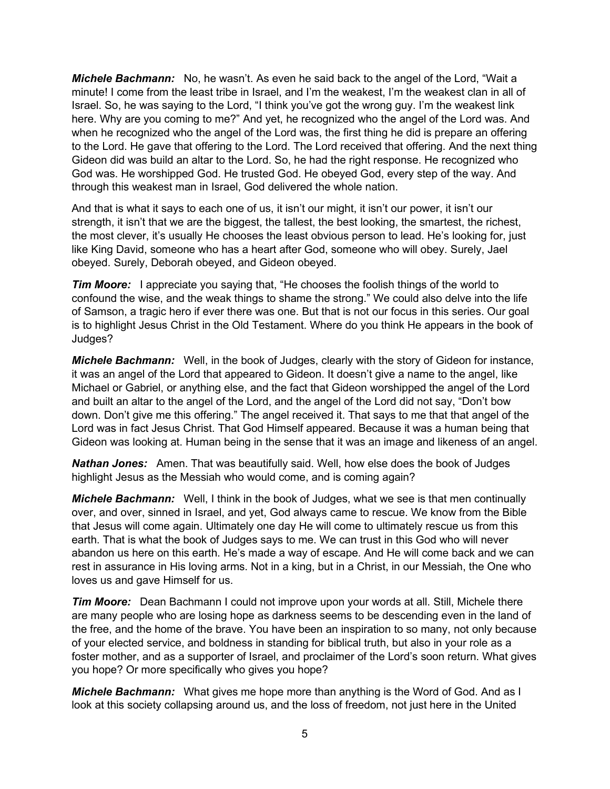*Michele Bachmann:* No, he wasn't. As even he said back to the angel of the Lord, "Wait a minute! I come from the least tribe in Israel, and I'm the weakest, I'm the weakest clan in all of Israel. So, he was saying to the Lord, "I think you've got the wrong guy. I'm the weakest link here. Why are you coming to me?" And yet, he recognized who the angel of the Lord was. And when he recognized who the angel of the Lord was, the first thing he did is prepare an offering to the Lord. He gave that offering to the Lord. The Lord received that offering. And the next thing Gideon did was build an altar to the Lord. So, he had the right response. He recognized who God was. He worshipped God. He trusted God. He obeyed God, every step of the way. And through this weakest man in Israel, God delivered the whole nation.

And that is what it says to each one of us, it isn't our might, it isn't our power, it isn't our strength, it isn't that we are the biggest, the tallest, the best looking, the smartest, the richest, the most clever, it's usually He chooses the least obvious person to lead. He's looking for, just like King David, someone who has a heart after God, someone who will obey. Surely, Jael obeyed. Surely, Deborah obeyed, and Gideon obeyed.

*Tim Moore:* I appreciate you saying that, "He chooses the foolish things of the world to confound the wise, and the weak things to shame the strong." We could also delve into the life of Samson, a tragic hero if ever there was one. But that is not our focus in this series. Our goal is to highlight Jesus Christ in the Old Testament. Where do you think He appears in the book of Judges?

*Michele Bachmann:* Well, in the book of Judges, clearly with the story of Gideon for instance, it was an angel of the Lord that appeared to Gideon. It doesn't give a name to the angel, like Michael or Gabriel, or anything else, and the fact that Gideon worshipped the angel of the Lord and built an altar to the angel of the Lord, and the angel of the Lord did not say, "Don't bow down. Don't give me this offering." The angel received it. That says to me that that angel of the Lord was in fact Jesus Christ. That God Himself appeared. Because it was a human being that Gideon was looking at. Human being in the sense that it was an image and likeness of an angel.

*Nathan Jones:* Amen. That was beautifully said. Well, how else does the book of Judges highlight Jesus as the Messiah who would come, and is coming again?

*Michele Bachmann:* Well, I think in the book of Judges, what we see is that men continually over, and over, sinned in Israel, and yet, God always came to rescue. We know from the Bible that Jesus will come again. Ultimately one day He will come to ultimately rescue us from this earth. That is what the book of Judges says to me. We can trust in this God who will never abandon us here on this earth. He's made a way of escape. And He will come back and we can rest in assurance in His loving arms. Not in a king, but in a Christ, in our Messiah, the One who loves us and gave Himself for us.

*Tim Moore:* Dean Bachmann I could not improve upon your words at all. Still, Michele there are many people who are losing hope as darkness seems to be descending even in the land of the free, and the home of the brave. You have been an inspiration to so many, not only because of your elected service, and boldness in standing for biblical truth, but also in your role as a foster mother, and as a supporter of Israel, and proclaimer of the Lord's soon return. What gives you hope? Or more specifically who gives you hope?

*Michele Bachmann:* What gives me hope more than anything is the Word of God. And as I look at this society collapsing around us, and the loss of freedom, not just here in the United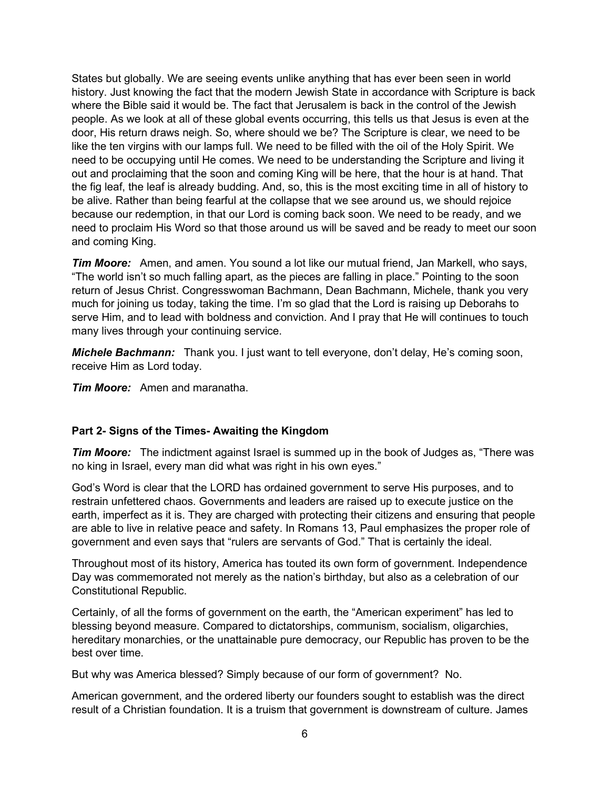States but globally. We are seeing events unlike anything that has ever been seen in world history. Just knowing the fact that the modern Jewish State in accordance with Scripture is back where the Bible said it would be. The fact that Jerusalem is back in the control of the Jewish people. As we look at all of these global events occurring, this tells us that Jesus is even at the door, His return draws neigh. So, where should we be? The Scripture is clear, we need to be like the ten virgins with our lamps full. We need to be filled with the oil of the Holy Spirit. We need to be occupying until He comes. We need to be understanding the Scripture and living it out and proclaiming that the soon and coming King will be here, that the hour is at hand. That the fig leaf, the leaf is already budding. And, so, this is the most exciting time in all of history to be alive. Rather than being fearful at the collapse that we see around us, we should rejoice because our redemption, in that our Lord is coming back soon. We need to be ready, and we need to proclaim His Word so that those around us will be saved and be ready to meet our soon and coming King.

*Tim Moore:* Amen, and amen. You sound a lot like our mutual friend, Jan Markell, who says, "The world isn't so much falling apart, as the pieces are falling in place." Pointing to the soon return of Jesus Christ. Congresswoman Bachmann, Dean Bachmann, Michele, thank you very much for joining us today, taking the time. I'm so glad that the Lord is raising up Deborahs to serve Him, and to lead with boldness and conviction. And I pray that He will continues to touch many lives through your continuing service.

*Michele Bachmann:* Thank you. I just want to tell everyone, don't delay, He's coming soon, receive Him as Lord today.

*Tim Moore:* Amen and maranatha.

### **Part 2- Signs of the Times- Awaiting the Kingdom**

*Tim Moore:* The indictment against Israel is summed up in the book of Judges as, "There was no king in Israel, every man did what was right in his own eyes."

God's Word is clear that the LORD has ordained government to serve His purposes, and to restrain unfettered chaos. Governments and leaders are raised up to execute justice on the earth, imperfect as it is. They are charged with protecting their citizens and ensuring that people are able to live in relative peace and safety. In Romans 13, Paul emphasizes the proper role of government and even says that "rulers are servants of God." That is certainly the ideal.

Throughout most of its history, America has touted its own form of government. Independence Day was commemorated not merely as the nation's birthday, but also as a celebration of our Constitutional Republic.

Certainly, of all the forms of government on the earth, the "American experiment" has led to blessing beyond measure. Compared to dictatorships, communism, socialism, oligarchies, hereditary monarchies, or the unattainable pure democracy, our Republic has proven to be the best over time.

But why was America blessed? Simply because of our form of government? No.

American government, and the ordered liberty our founders sought to establish was the direct result of a Christian foundation. It is a truism that government is downstream of culture. James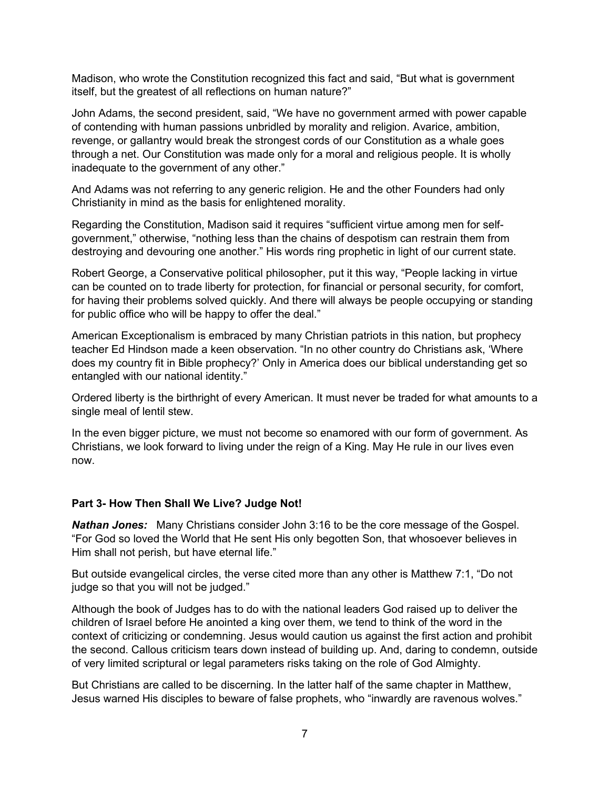Madison, who wrote the Constitution recognized this fact and said, "But what is government itself, but the greatest of all reflections on human nature?"

John Adams, the second president, said, "We have no government armed with power capable of contending with human passions unbridled by morality and religion. Avarice, ambition, revenge, or gallantry would break the strongest cords of our Constitution as a whale goes through a net. Our Constitution was made only for a moral and religious people. It is wholly inadequate to the government of any other."

And Adams was not referring to any generic religion. He and the other Founders had only Christianity in mind as the basis for enlightened morality.

Regarding the Constitution, Madison said it requires "sufficient virtue among men for selfgovernment," otherwise, "nothing less than the chains of despotism can restrain them from destroying and devouring one another." His words ring prophetic in light of our current state.

Robert George, a Conservative political philosopher, put it this way, "People lacking in virtue can be counted on to trade liberty for protection, for financial or personal security, for comfort, for having their problems solved quickly. And there will always be people occupying or standing for public office who will be happy to offer the deal."

American Exceptionalism is embraced by many Christian patriots in this nation, but prophecy teacher Ed Hindson made a keen observation. "In no other country do Christians ask, 'Where does my country fit in Bible prophecy?' Only in America does our biblical understanding get so entangled with our national identity."

Ordered liberty is the birthright of every American. It must never be traded for what amounts to a single meal of lentil stew.

In the even bigger picture, we must not become so enamored with our form of government. As Christians, we look forward to living under the reign of a King. May He rule in our lives even now.

#### **Part 3- How Then Shall We Live? Judge Not!**

*Nathan Jones:* Many Christians consider John 3:16 to be the core message of the Gospel. "For God so loved the World that He sent His only begotten Son, that whosoever believes in Him shall not perish, but have eternal life."

But outside evangelical circles, the verse cited more than any other is Matthew 7:1, "Do not judge so that you will not be judged."

Although the book of Judges has to do with the national leaders God raised up to deliver the children of Israel before He anointed a king over them, we tend to think of the word in the context of criticizing or condemning. Jesus would caution us against the first action and prohibit the second. Callous criticism tears down instead of building up. And, daring to condemn, outside of very limited scriptural or legal parameters risks taking on the role of God Almighty.

But Christians are called to be discerning. In the latter half of the same chapter in Matthew, Jesus warned His disciples to beware of false prophets, who "inwardly are ravenous wolves."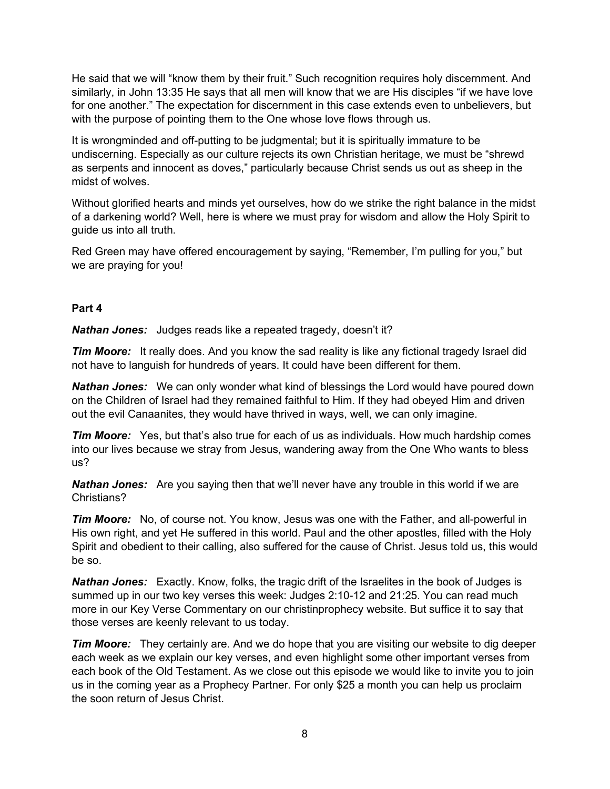He said that we will "know them by their fruit." Such recognition requires holy discernment. And similarly, in John 13:35 He says that all men will know that we are His disciples "if we have love for one another." The expectation for discernment in this case extends even to unbelievers, but with the purpose of pointing them to the One whose love flows through us.

It is wrongminded and off-putting to be judgmental; but it is spiritually immature to be undiscerning. Especially as our culture rejects its own Christian heritage, we must be "shrewd as serpents and innocent as doves," particularly because Christ sends us out as sheep in the midst of wolves.

Without glorified hearts and minds yet ourselves, how do we strike the right balance in the midst of a darkening world? Well, here is where we must pray for wisdom and allow the Holy Spirit to guide us into all truth.

Red Green may have offered encouragement by saying, "Remember, I'm pulling for you," but we are praying for you!

#### **Part 4**

*Nathan Jones:* Judges reads like a repeated tragedy, doesn't it?

*Tim Moore:* It really does. And you know the sad reality is like any fictional tragedy Israel did not have to languish for hundreds of years. It could have been different for them.

*Nathan Jones:* We can only wonder what kind of blessings the Lord would have poured down on the Children of Israel had they remained faithful to Him. If they had obeyed Him and driven out the evil Canaanites, they would have thrived in ways, well, we can only imagine.

*Tim Moore:* Yes, but that's also true for each of us as individuals. How much hardship comes into our lives because we stray from Jesus, wandering away from the One Who wants to bless us?

*Nathan Jones:* Are you saying then that we'll never have any trouble in this world if we are Christians?

*Tim Moore:* No, of course not. You know, Jesus was one with the Father, and all-powerful in His own right, and yet He suffered in this world. Paul and the other apostles, filled with the Holy Spirit and obedient to their calling, also suffered for the cause of Christ. Jesus told us, this would be so.

**Nathan Jones:** Exactly. Know, folks, the tragic drift of the Israelites in the book of Judges is summed up in our two key verses this week: Judges 2:10-12 and 21:25. You can read much more in our Key Verse Commentary on our christinprophecy website. But suffice it to say that those verses are keenly relevant to us today.

*Tim Moore:* They certainly are. And we do hope that you are visiting our website to dig deeper each week as we explain our key verses, and even highlight some other important verses from each book of the Old Testament. As we close out this episode we would like to invite you to join us in the coming year as a Prophecy Partner. For only \$25 a month you can help us proclaim the soon return of Jesus Christ.